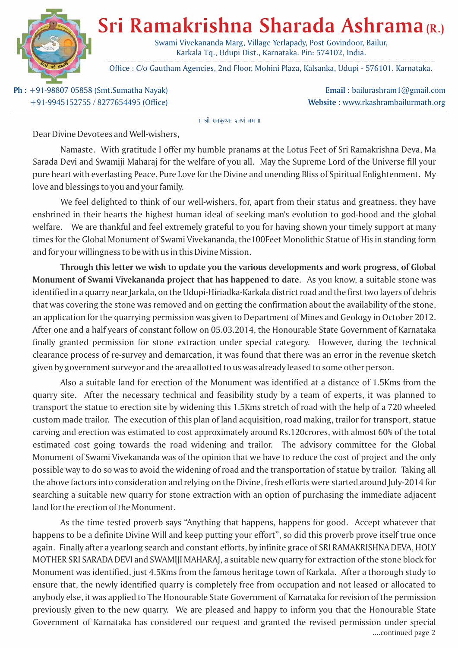

## **Sri Ramakrishna Sharada Ashrama (R.)**

Swami Vivekananda Marg, Village Yerlapady, Post Govindoor, Bailur, Karkala Tq., Udupi Dist., Karnataka. Pin: 574102, India.

Office : C/o Gautham Agencies, 2nd Floor, Mohini Plaza, Kalsanka, Udupi - 576101. Karnataka.

**Ph :** +91-98807 05858 (Smt.Sumatha Nayak) +91-9945152755 / 8277654495 (Office)

**Email :** bailurashram1@gmail.com **Website :** www.rkashrambailurmath.org

|| श्री रामकृष्ण: शरणं मम ॥

Dear Divine Devotees and Well-wishers,

Namaste. With gratitude I offer my humble pranams at the Lotus Feet of Sri Ramakrishna Deva, Ma Sarada Devi and Swamiji Maharaj for the welfare of you all. May the Supreme Lord of the Universe fill your pure heart with everlasting Peace, Pure Love for the Divine and unending Bliss of Spiritual Enlightenment. My love and blessings to you and your family.

We feel delighted to think of our well-wishers, for, apart from their status and greatness, they have enshrined in their hearts the highest human ideal of seeking man's evolution to god-hood and the global welfare. We are thankful and feel extremely grateful to you for having shown your timely support at many times for the Global Monument of Swami Vivekananda, the100Feet Monolithic Statue of His in standing form and for your willingness to be with us in this Divine Mission.

**Through this letter we wish to update you the various developments and work progress, of Global Monument of Swami Vivekananda project that has happened to date.** As you know, a suitable stone was identified in a quarry near Jarkala, on the Udupi-Hiriadka-Karkala district road and the first two layers of debris that was covering the stone was removed and on getting the confirmation about the availability of the stone, an application for the quarrying permission was given to Department of Mines and Geology in October 2012. After one and a half years of constant follow on 05.03.2014, the Honourable State Government of Karnataka finally granted permission for stone extraction under special category. However, during the technical clearance process of re-survey and demarcation, it was found that there was an error in the revenue sketch given by government surveyor and the area allotted to us was already leased to some other person.

Also a suitable land for erection of the Monument was identified at a distance of 1.5Kms from the quarry site. After the necessary technical and feasibility study by a team of experts, it was planned to transport the statue to erection site by widening this 1.5Kms stretch of road with the help of a 720 wheeled custom made trailor. The execution of this plan of land acquisition, road making, trailor for transport, statue carving and erection was estimated to cost approximately around Rs.120crores, with almost 60% of the total estimated cost going towards the road widening and trailor. The advisory committee for the Global Monument of Swami Vivekananda was of the opinion that we have to reduce the cost of project and the only possible way to do so was to avoid the widening of road and the transportation of statue by trailor. Taking all the above factors into consideration and relying on the Divine, fresh efforts were started around July-2014 for searching a suitable new quarry for stone extraction with an option of purchasing the immediate adjacent land for the erection of the Monument.

As the time tested proverb says "Anything that happens, happens for good. Accept whatever that happens to be a definite Divine Will and keep putting your effort", so did this proverb prove itself true once again. Finally after a yearlong search and constant efforts, by infinite grace of SRI RAMAKRISHNA DEVA, HOLY MOTHER SRI SARADA DEVI and SWAMIJI MAHARAJ, a suitable new quarry for extraction of the stone block for Monument was identified, just 4.5Kms from the famous heritage town of Karkala. After a thorough study to ensure that, the newly identified quarry is completely free from occupation and not leased or allocated to anybody else, it was applied to The Honourable State Government of Karnataka for revision of the permission previously given to the new quarry. We are pleased and happy to inform you that the Honourable State Government of Karnataka has considered our request and granted the revised permission under special ....continued page 2